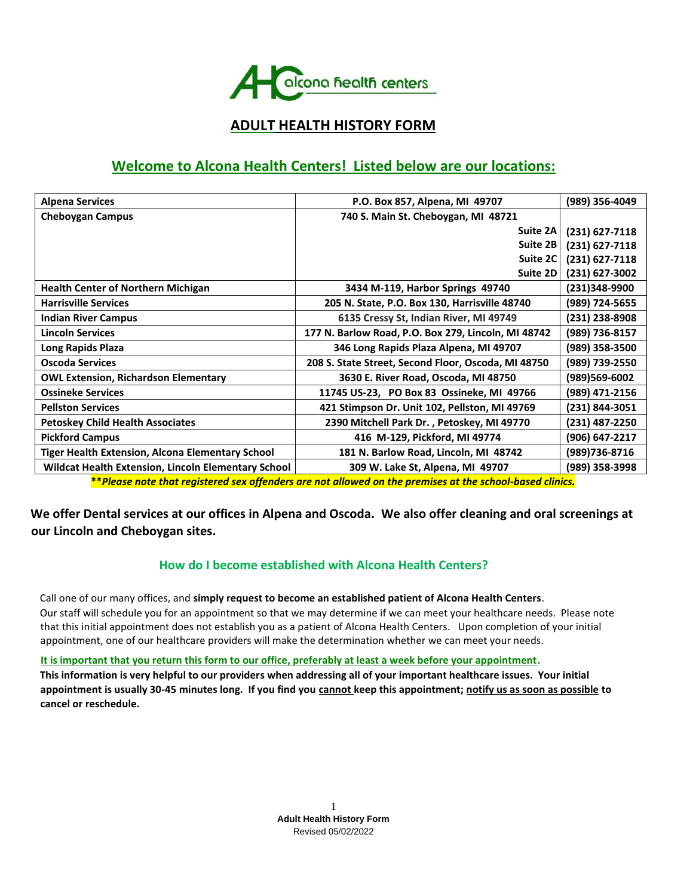

# **ADULT HEALTH HISTORY FORM**

# **Welcome to Alcona Health Centers! Listed below are our locations:**

| P.O. Box 857, Alpena, MI 49707                      | (989) 356-4049                                                       |
|-----------------------------------------------------|----------------------------------------------------------------------|
| 740 S. Main St. Cheboygan, MI 48721                 |                                                                      |
| Suite 2A                                            | (231) 627-7118                                                       |
| Suite 2B                                            | $(231)$ 627-7118                                                     |
| Suite 2C                                            | $(231) 627 - 7118$                                                   |
| <b>Suite 2D</b>                                     | (231) 627-3002                                                       |
| 3434 M-119, Harbor Springs 49740                    | (231)348-9900                                                        |
| 205 N. State, P.O. Box 130, Harrisville 48740       | (989) 724-5655                                                       |
| 6135 Cressy St, Indian River, MI 49749              | (231) 238-8908                                                       |
| 177 N. Barlow Road, P.O. Box 279, Lincoln, MI 48742 | (989) 736-8157                                                       |
| 346 Long Rapids Plaza Alpena, MI 49707              | (989) 358-3500                                                       |
| 208 S. State Street, Second Floor, Oscoda, MI 48750 | (989) 739-2550                                                       |
| 3630 E. River Road, Oscoda, MI 48750                | (989)569-6002                                                        |
| 11745 US-23, PO Box 83 Ossineke, MI 49766           | (989) 471-2156                                                       |
| 421 Stimpson Dr. Unit 102, Pellston, MI 49769       | (231) 844-3051                                                       |
| 2390 Mitchell Park Dr., Petoskey, MI 49770          | (231) 487-2250                                                       |
| 416 M-129, Pickford, MI 49774                       | (906) 647-2217                                                       |
| 181 N. Barlow Road, Lincoln, MI 48742               | (989)736-8716                                                        |
| 309 W. Lake St, Alpena, MI 49707                    | (989) 358-3998                                                       |
|                                                     | Wildcat Health Extension, Lincoln Elementary School<br>$\sim$ $\sim$ |

**\*\****Please note that registered sex offenders are not allowed on the premises at the school-based clinics.*

# **We offer Dental services at our offices in Alpena and Oscoda. We also offer cleaning and oral screenings at our Lincoln and Cheboygan sites.**

### **How do I become established with Alcona Health Centers?**

Call one of our many offices, and **simply request to become an established patient of Alcona Health Centers**. Our staff will schedule you for an appointment so that we may determine if we can meet your healthcare needs. Please note that this initial appointment does not establish you as a patient of Alcona Health Centers. Upon completion of your initial appointment, one of our healthcare providers will make the determination whether we can meet your needs.

#### **It is important that you return this form to our office, preferably at least a week before your appointment.**

**This information is very helpful to our providers when addressing all of your important healthcare issues. Your initial appointment is usually 30-45 minutes long. If you find you cannot keep this appointment; notify us as soon as possible to cancel or reschedule.**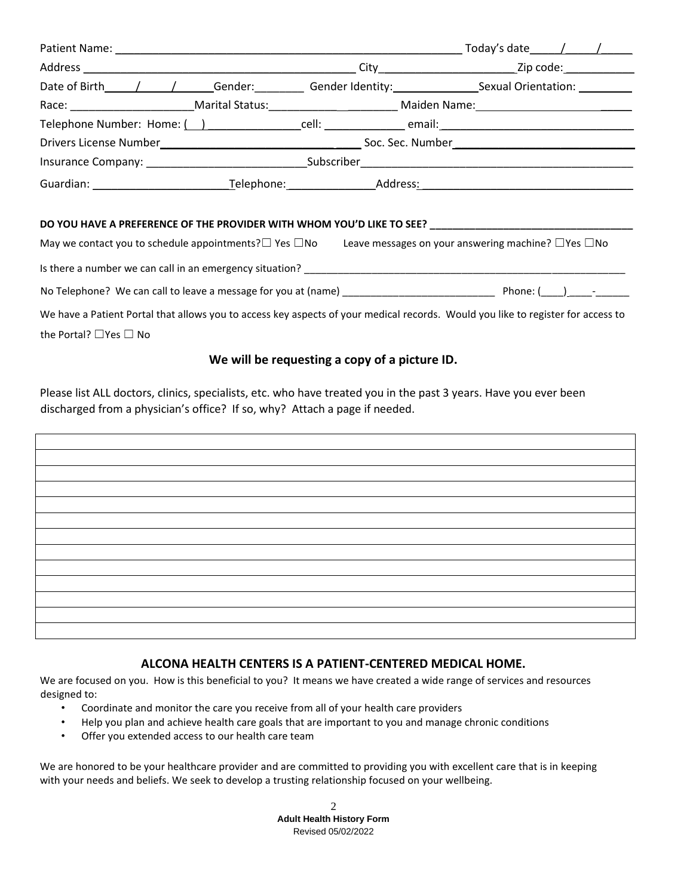|                                                                                                                                                                                                                                |                      | Today's date $\left( \begin{array}{cc} 1 & 1 \end{array} \right)$                                                                                                                                                              |
|--------------------------------------------------------------------------------------------------------------------------------------------------------------------------------------------------------------------------------|----------------------|--------------------------------------------------------------------------------------------------------------------------------------------------------------------------------------------------------------------------------|
|                                                                                                                                                                                                                                |                      | City<br>Zip code: <u>____________</u>                                                                                                                                                                                          |
| Date of Birth / /                                                                                                                                                                                                              |                      |                                                                                                                                                                                                                                |
|                                                                                                                                                                                                                                |                      | Race: Marital Status: Marital Status: Maiden Name: Marital Status: Marital Status: Marital Status: Marital Status: Marital Status: Marital Status: Marital Status: Marital Status: Marital Status: Marital Status: Marital Sta |
|                                                                                                                                                                                                                                |                      |                                                                                                                                                                                                                                |
|                                                                                                                                                                                                                                |                      | Soc. Sec. Number Soc. Sec. Number                                                                                                                                                                                              |
| Insurance Company: New York Company:                                                                                                                                                                                           | Subscriber           |                                                                                                                                                                                                                                |
| Guardian: Called Burn Contains and Containing the Containing Containing Containing Containing Containing Containing Containing Containing Containing Containing Containing Containing Containing Containing Containing Contain | Telephone: Telephone | Address:                                                                                                                                                                                                                       |

#### **DO YOU HAVE A PREFERENCE OF THE PROVIDER WITH WHOM YOU'D LIKE TO SEE? \_\_\_\_\_\_\_\_\_\_\_\_\_\_\_\_\_\_\_\_\_\_\_\_\_\_\_\_\_\_\_\_\_\_\_\_**

| May we contact you to schedule appointments? $\square$ Yes $\square$ No                                                          | Leave messages on your answering machine? $\Box$ Yes $\Box$ No |
|----------------------------------------------------------------------------------------------------------------------------------|----------------------------------------------------------------|
| Is there a number we can call in an emergency situation?                                                                         |                                                                |
| No Telephone? We can call to leave a message for you at (name)                                                                   | Phone: ( ______________                                        |
| We have a Patient Portal that allows you to access key aspects of your medical records. Would you like to register for access to |                                                                |

the Portal? ☐Yes ☐ No

#### **We will be requesting a copy of a picture ID.**

Please list ALL doctors, clinics, specialists, etc. who have treated you in the past 3 years. Have you ever been discharged from a physician's office? If so, why? Attach a page if needed.

#### **ALCONA HEALTH CENTERS IS A PATIENT-CENTERED MEDICAL HOME.**

We are focused on you. How is this beneficial to you? It means we have created a wide range of services and resources designed to:

- Coordinate and monitor the care you receive from all of your health care providers
- Help you plan and achieve health care goals that are important to you and manage chronic conditions
- Offer you extended access to our health care team

We are honored to be your healthcare provider and are committed to providing you with excellent care that is in keeping with your needs and beliefs. We seek to develop a trusting relationship focused on your wellbeing.

> 2 **Adult Health History Form**  Revised 05/02/2022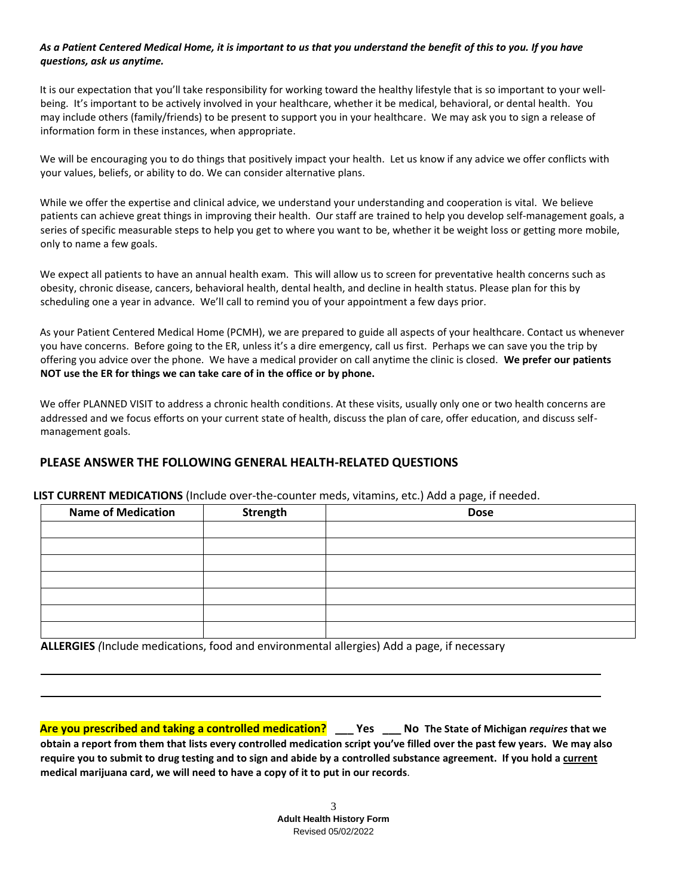#### *As a Patient Centered Medical Home, it is important to us that you understand the benefit of this to you. If you have questions, ask us anytime.*

It is our expectation that you'll take responsibility for working toward the healthy lifestyle that is so important to your wellbeing. It's important to be actively involved in your healthcare, whether it be medical, behavioral, or dental health. You may include others (family/friends) to be present to support you in your healthcare. We may ask you to sign a release of information form in these instances, when appropriate.

We will be encouraging you to do things that positively impact your health. Let us know if any advice we offer conflicts with your values, beliefs, or ability to do. We can consider alternative plans.

While we offer the expertise and clinical advice, we understand your understanding and cooperation is vital. We believe patients can achieve great things in improving their health. Our staff are trained to help you develop self-management goals, a series of specific measurable steps to help you get to where you want to be, whether it be weight loss or getting more mobile, only to name a few goals.

We expect all patients to have an annual health exam. This will allow us to screen for preventative health concerns such as obesity, chronic disease, cancers, behavioral health, dental health, and decline in health status. Please plan for this by scheduling one a year in advance. We'll call to remind you of your appointment a few days prior.

As your Patient Centered Medical Home (PCMH), we are prepared to guide all aspects of your healthcare. Contact us whenever you have concerns. Before going to the ER, unless it's a dire emergency, call us first. Perhaps we can save you the trip by offering you advice over the phone. We have a medical provider on call anytime the clinic is closed. **We prefer our patients NOT use the ER for things we can take care of in the office or by phone.**

We offer PLANNED VISIT to address a chronic health conditions. At these visits, usually only one or two health concerns are addressed and we focus efforts on your current state of health, discuss the plan of care, offer education, and discuss selfmanagement goals.

### **PLEASE ANSWER THE FOLLOWING GENERAL HEALTH-RELATED QUESTIONS**

**LIST CURRENT MEDICATIONS** (Include over-the-counter meds, vitamins, etc.) Add a page, if needed.

| <b>Name of Medication</b> | Strength | <b>Dose</b> |
|---------------------------|----------|-------------|
|                           |          |             |
|                           |          |             |
|                           |          |             |
|                           |          |             |
|                           |          |             |
|                           |          |             |
|                           |          |             |

**ALLERGIES** *(*Include medications, food and environmental allergies) Add a page, if necessary

**Are you prescribed and taking a controlled medication? \_\_\_ Yes \_\_\_ No The State of Michigan** *requires* **that we obtain a report from them that lists every controlled medication script you've filled over the past few years. We may also require you to submit to drug testing and to sign and abide by a controlled substance agreement. If you hold a current medical marijuana card, we will need to have a copy of it to put in our records**.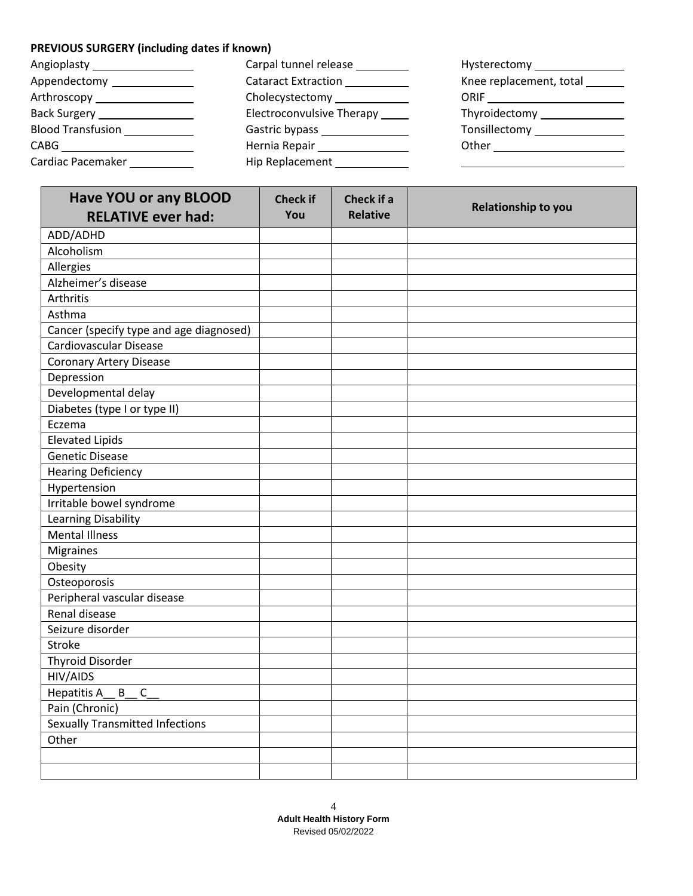# **PREVIOUS SURGERY (including dates if known)**

| Angioplasty _____________________ | Carpal tunnel release            |                          |
|-----------------------------------|----------------------------------|--------------------------|
| Appendectomy _______________      | <b>Cataract Extraction</b>       | Knee replacement, total  |
| Arthroscopy _________________     | Cholecystectomy _____________    |                          |
| Back Surgery ________________     | Electroconvulsive Therapy ______ | Thyroidectomy Manuscript |
| <b>Blood Transfusion</b>          |                                  | <b>Tonsillectomy</b>     |
| CABG                              | Hernia Repair ________________   |                          |
| Cardiac Pacemaker                 | Hip Replacement                  |                          |

| <b>Have YOU or any BLOOD</b>            | <b>Check if</b> | Check if a      |                     |
|-----------------------------------------|-----------------|-----------------|---------------------|
| <b>RELATIVE ever had:</b>               | You             | <b>Relative</b> | Relationship to you |
| ADD/ADHD                                |                 |                 |                     |
| Alcoholism                              |                 |                 |                     |
| Allergies                               |                 |                 |                     |
| Alzheimer's disease                     |                 |                 |                     |
| Arthritis                               |                 |                 |                     |
| Asthma                                  |                 |                 |                     |
| Cancer (specify type and age diagnosed) |                 |                 |                     |
| Cardiovascular Disease                  |                 |                 |                     |
| <b>Coronary Artery Disease</b>          |                 |                 |                     |
| Depression                              |                 |                 |                     |
| Developmental delay                     |                 |                 |                     |
| Diabetes (type I or type II)            |                 |                 |                     |
| Eczema                                  |                 |                 |                     |
| <b>Elevated Lipids</b>                  |                 |                 |                     |
| <b>Genetic Disease</b>                  |                 |                 |                     |
| <b>Hearing Deficiency</b>               |                 |                 |                     |
| Hypertension                            |                 |                 |                     |
| Irritable bowel syndrome                |                 |                 |                     |
| <b>Learning Disability</b>              |                 |                 |                     |
| <b>Mental Illness</b>                   |                 |                 |                     |
| <b>Migraines</b>                        |                 |                 |                     |
| Obesity                                 |                 |                 |                     |
| Osteoporosis                            |                 |                 |                     |
| Peripheral vascular disease             |                 |                 |                     |
| Renal disease                           |                 |                 |                     |
| Seizure disorder                        |                 |                 |                     |
| Stroke                                  |                 |                 |                     |
| <b>Thyroid Disorder</b>                 |                 |                 |                     |
| HIV/AIDS                                |                 |                 |                     |
| Hepatitis A<br>B C                      |                 |                 |                     |
| Pain (Chronic)                          |                 |                 |                     |
| Sexually Transmitted Infections         |                 |                 |                     |
| Other                                   |                 |                 |                     |
|                                         |                 |                 |                     |
|                                         |                 |                 |                     |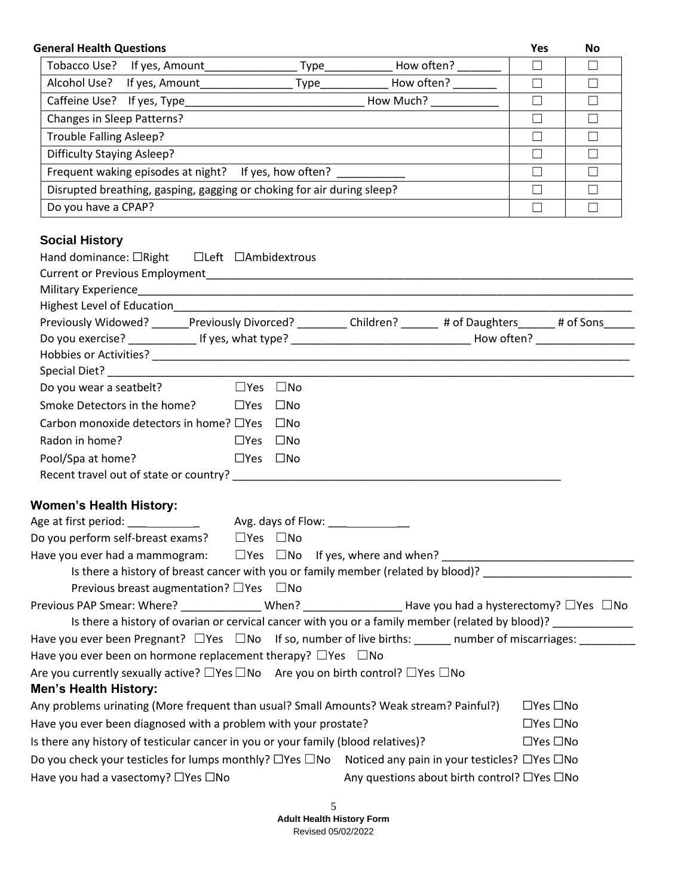| <b>General Health Questions</b>                                                                                                                                                                                                                                                                                                                                                  |                            |  | Yes                  | No     |
|----------------------------------------------------------------------------------------------------------------------------------------------------------------------------------------------------------------------------------------------------------------------------------------------------------------------------------------------------------------------------------|----------------------------|--|----------------------|--------|
|                                                                                                                                                                                                                                                                                                                                                                                  |                            |  | $\Box$               | $\Box$ |
|                                                                                                                                                                                                                                                                                                                                                                                  |                            |  | $\Box$               | $\Box$ |
|                                                                                                                                                                                                                                                                                                                                                                                  |                            |  | $\Box$               | $\Box$ |
| Changes in Sleep Patterns?                                                                                                                                                                                                                                                                                                                                                       |                            |  | $\Box$               | $\Box$ |
| <b>Trouble Falling Asleep?</b>                                                                                                                                                                                                                                                                                                                                                   |                            |  | $\Box$               | $\Box$ |
| <b>Difficulty Staying Asleep?</b>                                                                                                                                                                                                                                                                                                                                                |                            |  | $\Box$               | $\Box$ |
| Frequent waking episodes at night? If yes, how often? _____________                                                                                                                                                                                                                                                                                                              |                            |  | $\Box$               | $\Box$ |
| Disrupted breathing, gasping, gagging or choking for air during sleep?                                                                                                                                                                                                                                                                                                           |                            |  | $\Box$               | $\Box$ |
| Do you have a CPAP?                                                                                                                                                                                                                                                                                                                                                              |                            |  | $\Box$               | $\Box$ |
| <b>Social History</b>                                                                                                                                                                                                                                                                                                                                                            |                            |  |                      |        |
|                                                                                                                                                                                                                                                                                                                                                                                  |                            |  |                      |        |
| Previously Widowed? ______Previously Divorced? _________ Children? ______ # of Daughters ______ # of Sons_____                                                                                                                                                                                                                                                                   |                            |  |                      |        |
|                                                                                                                                                                                                                                                                                                                                                                                  |                            |  |                      |        |
|                                                                                                                                                                                                                                                                                                                                                                                  |                            |  |                      |        |
|                                                                                                                                                                                                                                                                                                                                                                                  |                            |  |                      |        |
| Do you wear a seatbelt?                                                                                                                                                                                                                                                                                                                                                          | $\square$ Yes $\square$ No |  |                      |        |
| Smoke Detectors in the home?                                                                                                                                                                                                                                                                                                                                                     | $\square$ Yes $\square$ No |  |                      |        |
| Carbon monoxide detectors in home? □Yes □No                                                                                                                                                                                                                                                                                                                                      |                            |  |                      |        |
| Radon in home?                                                                                                                                                                                                                                                                                                                                                                   | $\Box$ Yes $\Box$ No       |  |                      |        |
| Pool/Spa at home?                                                                                                                                                                                                                                                                                                                                                                | $\square$ Yes $\square$ No |  |                      |        |
| Recent travel out of state or country?                                                                                                                                                                                                                                                                                                                                           |                            |  |                      |        |
| <b>Women's Health History:</b>                                                                                                                                                                                                                                                                                                                                                   |                            |  |                      |        |
| Age at first period: _________________ Avg. days of Flow: _______________                                                                                                                                                                                                                                                                                                        |                            |  |                      |        |
| Do you perform self-breast exams?                                                                                                                                                                                                                                                                                                                                                | $\square$ Yes $\square$ No |  |                      |        |
| Have you ever had a mammogram: $\square$ Yes $\;\square$ No If yes, where and when? $\_\_$                                                                                                                                                                                                                                                                                       |                            |  |                      |        |
| Is there a history of breast cancer with you or family member (related by blood)? ___________________________                                                                                                                                                                                                                                                                    |                            |  |                      |        |
| Previous breast augmentation? $\Box$ Yes $\Box$ No                                                                                                                                                                                                                                                                                                                               |                            |  |                      |        |
| Previous PAP Smear: Where? _______________When? ___________________Have you had a hysterectomy? $\Box$ Yes $\Box$ No                                                                                                                                                                                                                                                             |                            |  |                      |        |
| Is there a history of ovarian or cervical cancer with you or a family member (related by blood)? ____________                                                                                                                                                                                                                                                                    |                            |  |                      |        |
| Have you ever been Pregnant? □ Yes □ No If so, number of live births: ______ number of miscarriages: _________                                                                                                                                                                                                                                                                   |                            |  |                      |        |
| Have you ever been on hormone replacement therapy? $\Box$ Yes $\Box$ No                                                                                                                                                                                                                                                                                                          |                            |  |                      |        |
| Are you currently sexually active? $\Box$ Yes $\Box$ No Are you on birth control? $\Box$ Yes $\Box$ No                                                                                                                                                                                                                                                                           |                            |  |                      |        |
| Men's Health History:                                                                                                                                                                                                                                                                                                                                                            |                            |  |                      |        |
|                                                                                                                                                                                                                                                                                                                                                                                  |                            |  | $\Box$ Yes $\Box$ No |        |
|                                                                                                                                                                                                                                                                                                                                                                                  |                            |  |                      |        |
|                                                                                                                                                                                                                                                                                                                                                                                  |                            |  | $\Box$ Yes $\Box$ No |        |
|                                                                                                                                                                                                                                                                                                                                                                                  |                            |  | $\Box$ Yes $\Box$ No |        |
| Any problems urinating (More frequent than usual? Small Amounts? Weak stream? Painful?)<br>Have you ever been diagnosed with a problem with your prostate?<br>Is there any history of testicular cancer in you or your family (blood relatives)?<br>Do you check your testicles for lumps monthly? $\Box$ Yes $\Box$ No Noticed any pain in your testicles? $\Box$ Yes $\Box$ No |                            |  |                      |        |

5 **Adult Health History Form**  Revised 05/02/2022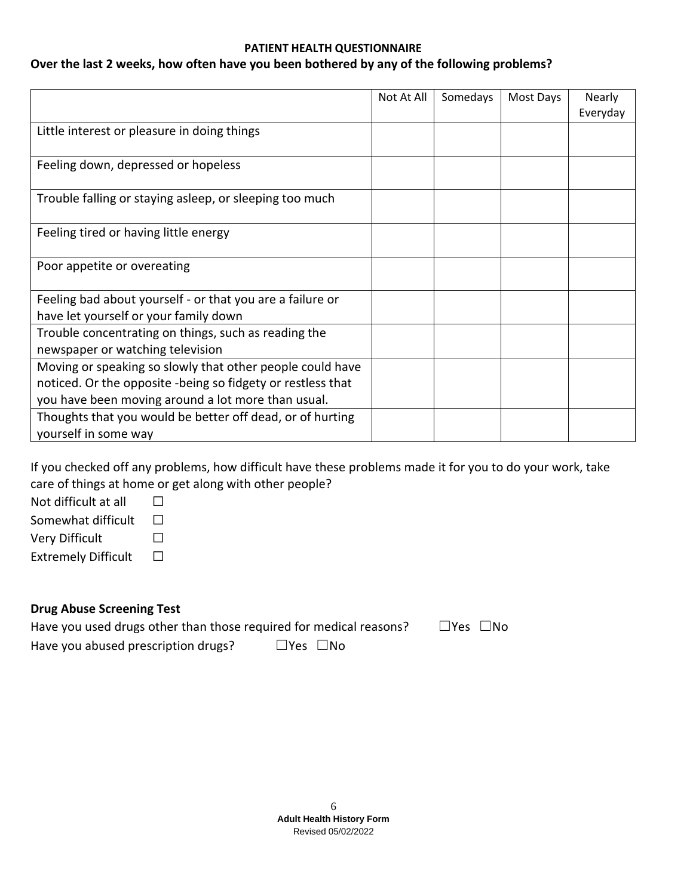#### **PATIENT HEALTH QUESTIONNAIRE**

### **Over the last 2 weeks, how often have you been bothered by any of the following problems?**

|                                                             | Not At All | Somedays | Most Days | Nearly   |
|-------------------------------------------------------------|------------|----------|-----------|----------|
|                                                             |            |          |           | Everyday |
| Little interest or pleasure in doing things                 |            |          |           |          |
|                                                             |            |          |           |          |
| Feeling down, depressed or hopeless                         |            |          |           |          |
|                                                             |            |          |           |          |
| Trouble falling or staying asleep, or sleeping too much     |            |          |           |          |
|                                                             |            |          |           |          |
| Feeling tired or having little energy                       |            |          |           |          |
|                                                             |            |          |           |          |
| Poor appetite or overeating                                 |            |          |           |          |
|                                                             |            |          |           |          |
| Feeling bad about yourself - or that you are a failure or   |            |          |           |          |
| have let yourself or your family down                       |            |          |           |          |
| Trouble concentrating on things, such as reading the        |            |          |           |          |
| newspaper or watching television                            |            |          |           |          |
| Moving or speaking so slowly that other people could have   |            |          |           |          |
| noticed. Or the opposite -being so fidgety or restless that |            |          |           |          |
| you have been moving around a lot more than usual.          |            |          |           |          |
| Thoughts that you would be better off dead, or of hurting   |            |          |           |          |
| yourself in some way                                        |            |          |           |          |

If you checked off any problems, how difficult have these problems made it for you to do your work, take care of things at home or get along with other people?

Not difficult at all  $□$ Somewhat difficult  $□$ Very Difficult □ Extremely Difficult □

## **Drug Abuse Screening Test**

| Have you used drugs other than those required for medical reasons? |                            | $\square$ Yes $\square$ No |  |
|--------------------------------------------------------------------|----------------------------|----------------------------|--|
| Have you abused prescription drugs?                                | $\square$ Yes $\square$ No |                            |  |